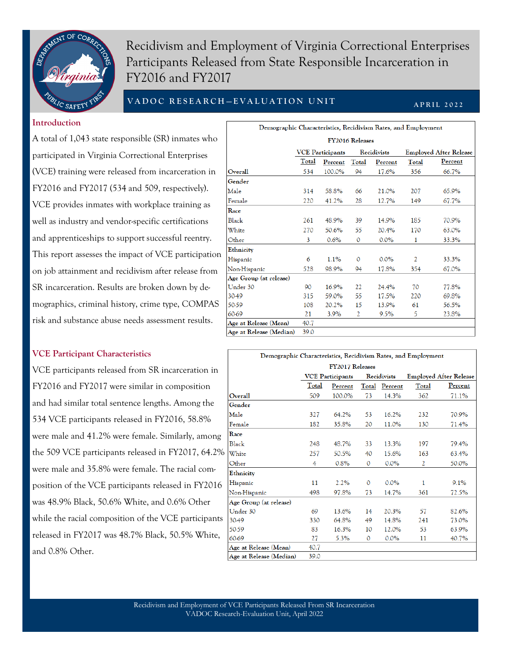

Recidivism and Employment of Virginia Correctional Enterprises Participants Released from State Responsible Incarceration in FY2016 and FY2017

# **V A D O C R E S E A R C H — E V A L U A T I O N U N I T**

#### **A P R I L 2 0 2 2**

 $\overline{a}$ 

### **Introduction**

A total of 1,043 state responsible (SR) inmates who participated in Virginia Correctional Enterprises (VCE) training were released from incarceration in FY2016 and FY2017 (534 and 509, respectively). VCE provides inmates with workplace training as well as industry and vendor-specific certifications and apprenticeships to support successful reentry. This report assesses the impact of VCE participation on job attainment and recidivism after release from SR incarceration. Results are broken down by demographics, criminal history, crime type, COMPAS risk and substance abuse needs assessment results.

### **VCE Participant Characteristics**

VCE participants released from SR incarceration in FY2016 and FY2017 were similar in composition and had similar total sentence lengths. Among the 534 VCE participants released in FY2016, 58.8% were male and 41.2% were female. Similarly, among the 509 VCE participants released in FY2017, 64.2% were male and 35.8% were female. The racial composition of the VCE participants released in FY2016 was 48.9% Black, 50.6% White, and 0.6% Other while the racial composition of the VCE participants released in FY2017 was 48.7% Black, 50.5% White, and 0.8% Other.

| Demographic Characteristics, Recidivism Rates, and Employment |       |                         |          |             |                |                               |  |  |
|---------------------------------------------------------------|-------|-------------------------|----------|-------------|----------------|-------------------------------|--|--|
| FY2016 Releases                                               |       |                         |          |             |                |                               |  |  |
|                                                               |       | <b>VCE Participants</b> |          | Recidivists |                | <b>Employed After Release</b> |  |  |
|                                                               | Total | Percent                 | Total    | Percent     | Total          | Percent                       |  |  |
| Overall                                                       | 534   | 100.0%                  | 94       | 17.6%       | 356            | 66.7%                         |  |  |
| Gender                                                        |       |                         |          |             |                |                               |  |  |
| Male                                                          | 314   | 58.8%                   | 66       | 21.0%       | 207            | 65.9%                         |  |  |
| Female                                                        | 220   | 41.2%                   | 28       | 12.7%       | 149            | 67.7%                         |  |  |
| Race                                                          |       |                         |          |             |                |                               |  |  |
| Black                                                         | 261   | 48.9%                   | 39       | 14.9%       | 185            | 70.9%                         |  |  |
| White                                                         | 270   | 50.6%                   | 55       | 20.4%       | 170            | 63.0%                         |  |  |
| Other                                                         | 3     | 0.6%                    | 0        | $0.0\%$     | 1              | 33.3%                         |  |  |
| Ethnicity                                                     |       |                         |          |             |                |                               |  |  |
| Hispanic                                                      | 6     | 1.1%                    | $\Omega$ | 0.0%        | $\overline{2}$ | 33.3%                         |  |  |
| Non-Hispanic                                                  | 528   | 98.9%                   | 94       | 17.8%       | 354            | 67.0%                         |  |  |
| Age Group (at release)                                        |       |                         |          |             |                |                               |  |  |
| Under 30                                                      | 90    | 16.9%                   | 22       | 24.4%       | 70             | 77.8%                         |  |  |
| 30-49                                                         | 315   | 59.0%                   | 55       | 17.5%       | 220            | 69.8%                         |  |  |
| 50-59                                                         | 108   | 20.2%                   | 15       | 13.9%       | 61             | 56.5%                         |  |  |
| 60-69                                                         | 21    | 3.9%                    | 2        | 9.5%        | 5              | 23.8%                         |  |  |
| Age at Release (Mean)                                         | 40.7  |                         |          |             |                |                               |  |  |
| Age at Release (Median)                                       | 39.0  |                         |          |             |                |                               |  |  |

| Demographic Characteristics, Recidivism Rates, and Employment |                                        |                  |              |         |       |                               |  |  |  |
|---------------------------------------------------------------|----------------------------------------|------------------|--------------|---------|-------|-------------------------------|--|--|--|
| FY2017 Releases                                               |                                        |                  |              |         |       |                               |  |  |  |
|                                                               | Recidivists<br><b>VCE Participants</b> |                  |              |         |       | <b>Employed After Release</b> |  |  |  |
|                                                               | Total                                  | Total<br>Percent |              | Percent | Total | Percent                       |  |  |  |
| Overall                                                       | 509                                    | 100.0%           | 73           | 14.3%   | 362   | 71.1%                         |  |  |  |
| Gender                                                        |                                        |                  |              |         |       |                               |  |  |  |
| Male                                                          | 327                                    | 64.2%            | 53           | 16.2%   | 232   | 70.9%                         |  |  |  |
| Female                                                        | 182                                    | 35.8%            | 20           | 11.0%   | 130   | 71.4%                         |  |  |  |
| Race                                                          |                                        |                  |              |         |       |                               |  |  |  |
| Black                                                         | 248                                    | 48.7%            | 33           | 13.3%   | 197   | 79.4%                         |  |  |  |
| White                                                         | 257                                    | 50.5%            | 40           | 15.6%   | 163   | 63.4%                         |  |  |  |
| Other                                                         | 4                                      | 0.8%             | $\mathbf{O}$ | 0.0%    | 2     | 50.0%                         |  |  |  |
| Ethnicity                                                     |                                        |                  |              |         |       |                               |  |  |  |
| Hispanic                                                      | 11                                     | 2.2%             | $\mathbf{0}$ | 0.0%    | 1     | 9.1%                          |  |  |  |
| Non-Hispanic                                                  | 498                                    | 97.8%            | 73           | 14.7%   | 361   | 72.5%                         |  |  |  |
| Age Group (at release)                                        |                                        |                  |              |         |       |                               |  |  |  |
| Under 30                                                      | 69                                     | 13.6%            | 14           | 20.3%   | 57    | 82.6%                         |  |  |  |
| 30-49                                                         | 330                                    | 64.8%            | 49           | 14.8%   | 241   | 73.0%                         |  |  |  |
| 50-59                                                         | 83                                     | 16.3%            | 10           | 12.0%   | 53    | 63.9%                         |  |  |  |
| 60-69                                                         | 27                                     | 5.3%             | $\mathbf{0}$ | 0.0%    | 11    | 40.7%                         |  |  |  |
| Age at Release (Mean)                                         | 40.7                                   |                  |              |         |       |                               |  |  |  |
| Age at Release (Median)                                       | 39.0                                   |                  |              |         |       |                               |  |  |  |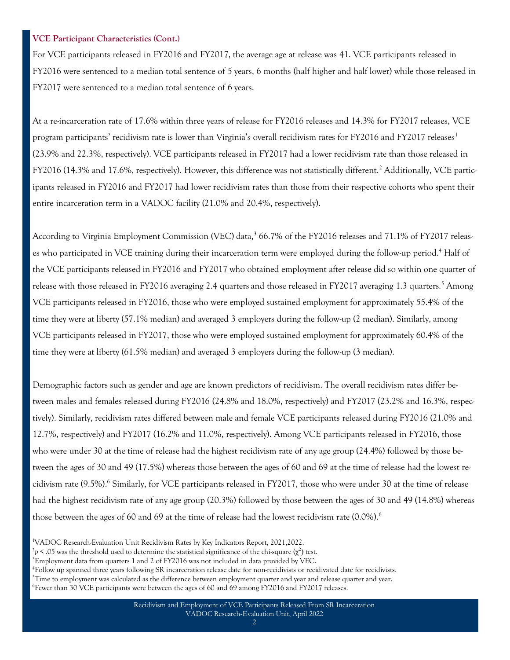### **VCE Participant Characteristics (Cont.)**

For VCE participants released in FY2016 and FY2017, the average age at release was 41. VCE participants released in FY2016 were sentenced to a median total sentence of 5 years, 6 months (half higher and half lower) while those released in FY2017 were sentenced to a median total sentence of 6 years.

At a re-incarceration rate of 17.6% within three years of release for FY2016 releases and 14.3% for FY2017 releases, VCE program participants' recidivism rate is lower than Virginia's overall recidivism rates for FY2016 and FY2017 releases<sup>1</sup> (23.9% and 22.3%, respectively). VCE participants released in FY2017 had a lower recidivism rate than those released in FY2016 (14.3% and 17.6%, respectively). However, this difference was not statistically different.<sup>2</sup> Additionally, VCE participants released in FY2016 and FY2017 had lower recidivism rates than those from their respective cohorts who spent their entire incarceration term in a VADOC facility (21.0% and 20.4%, respectively).

According to Virginia Employment Commission (VEC) data,<sup>3</sup> 66.7% of the FY2016 releases and 71.1% of FY2017 releases who participated in VCE training during their incarceration term were employed during the follow-up period.<sup>4</sup> Half of the VCE participants released in FY2016 and FY2017 who obtained employment after release did so within one quarter of release with those released in FY2016 averaging 2.4 quarters and those released in FY2017 averaging 1.3 quarters.<sup>5</sup> Among VCE participants released in FY2016, those who were employed sustained employment for approximately 55.4% of the time they were at liberty (57.1% median) and averaged 3 employers during the follow-up (2 median). Similarly, among VCE participants released in FY2017, those who were employed sustained employment for approximately 60.4% of the time they were at liberty (61.5% median) and averaged 3 employers during the follow-up (3 median).

Demographic factors such as gender and age are known predictors of recidivism. The overall recidivism rates differ between males and females released during FY2016 (24.8% and 18.0%, respectively) and FY2017 (23.2% and 16.3%, respectively). Similarly, recidivism rates differed between male and female VCE participants released during FY2016 (21.0% and 12.7%, respectively) and FY2017 (16.2% and 11.0%, respectively). Among VCE participants released in FY2016, those who were under 30 at the time of release had the highest recidivism rate of any age group (24.4%) followed by those between the ages of 30 and 49 (17.5%) whereas those between the ages of 60 and 69 at the time of release had the lowest recidivism rate (9.5%).<sup>6</sup> Similarly, for VCE participants released in FY2017, those who were under 30 at the time of release had the highest recidivism rate of any age group (20.3%) followed by those between the ages of 30 and 49 (14.8%) whereas those between the ages of 60 and 69 at the time of release had the lowest recidivism rate  $(0.0\%)$ .<sup>6</sup>

<sup>3</sup>Employment data from quarters 1 and 2 of FY2016 was not included in data provided by VEC.

- $5$ Time to employment was calculated as the difference between employment quarter and year and release quarter and year.
- 6 Fewer than 30 VCE participants were between the ages of 60 and 69 among FY2016 and FY2017 releases.

<sup>1</sup>VADOC Research-Evaluation Unit Recidivism Rates by Key Indicators Report, 2021,2022.

<sup>&</sup>lt;sup>2</sup> $p$  < .05 was the threshold used to determine the statistical significance of the chi-square (χ<sup>2</sup>) test.

<sup>4</sup> Follow up spanned three years following SR incarceration release date for non-recidivists or recidivated date for recidivists.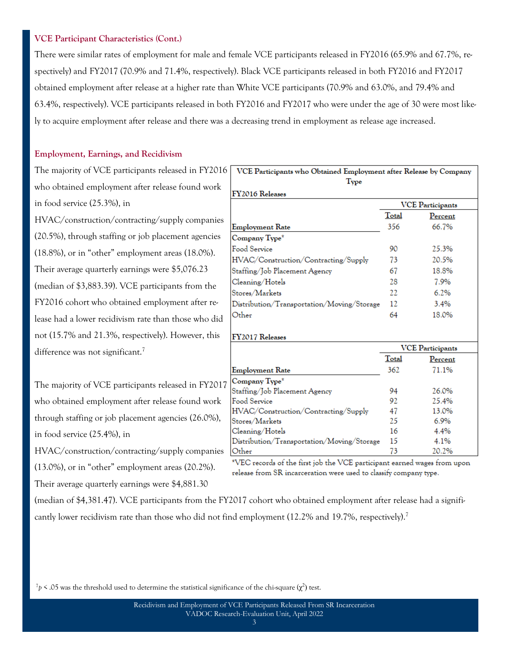### **VCE Participant Characteristics (Cont.)**

There were similar rates of employment for male and female VCE participants released in FY2016 (65.9% and 67.7%, respectively) and FY2017 (70.9% and 71.4%, respectively). Black VCE participants released in both FY2016 and FY2017 obtained employment after release at a higher rate than White VCE participants (70.9% and 63.0%, and 79.4% and 63.4%, respectively). VCE participants released in both FY2016 and FY2017 who were under the age of 30 were most likely to acquire employment after release and there was a decreasing trend in employment as release age increased.

### **Employment, Earnings, and Recidivism**

The majority of VCE participants released in FY2016 VCE Participants who Obtained Employment after Release by Company who obtained employment after release found work in food service (25.3%), in

HVAC/construction/contracting/supply companies (20.5%), through staffing or job placement agencies (18.8%), or in "other" employment areas (18.0%). Their average quarterly earnings were \$5,076.23 (median of \$3,883.39). VCE participants from the FY2016 cohort who obtained employment after release had a lower recidivism rate than those who did not (15.7% and 21.3%, respectively). However, this difference was not significant.<sup>7</sup>

The majority of VCE participants released in FY201 who obtained employment after release found work through staffing or job placement agencies (26.0%), in food service (25.4%), in

HVAC/construction/contracting/supply companies

(13.0%), or in "other" employment areas (20.2%).

Their average quarterly earnings were \$4,881.30

| Type                                       |       |                         |
|--------------------------------------------|-------|-------------------------|
| FY2016 Releases                            |       |                         |
|                                            |       | <b>VCE</b> Participants |
|                                            | Total | Percent                 |
| <b>Employment Rate</b>                     | 356   | 66.7%                   |
| Company Type*                              |       |                         |
| Food Service                               | 90    | 25.3%                   |
| HVAC/Construction/Contracting/Supply       | 73    | 20.5%                   |
| Staffing/Job Placement Agency              | 67    | 18.8%                   |
| Cleaning/Hotels                            | 28    | 7.9%                    |
| Stores/Markets                             | 22.   | 6.2%                    |
| Distribution/Transportation/Moving/Storage | 12    | 3.4%                    |
| Other                                      | 64    | 18.0%                   |
| <b>FY2017 Releases</b>                     |       |                         |
|                                            |       | <b>VCE Participants</b> |
|                                            | Total | Percent                 |
| <b>Employment Rate</b>                     | 362   | 71.1%                   |
| Company Type*                              |       |                         |
| Staffing/Job Placement Agency              | 94    | 26.0%                   |
| Food Service                               | 92    | 25.4%                   |
| HVAC/Construction/Contracting/Supply       | 47    | 13.0%                   |
| Stores/Markets                             | 25    | 6.9%                    |
| Cleaning/Hotels                            | 16    | 4.4%                    |
| Distribution/Transportation/Moving/Storage | 15    | 4.1%                    |
| Other                                      | 73    | 20.2%                   |

\*VEC records of the first job the VCE participant earned wages from upon release from SR incarceration were used to classify company type.

(median of \$4,381.47). VCE participants from the FY2017 cohort who obtained employment after release had a significantly lower recidivism rate than those who did not find employment (12.2% and 19.7%, respectively).<sup>7</sup>

 $^7p$  < .05 was the threshold used to determine the statistical significance of the chi-square  $(\chi^2)$  test.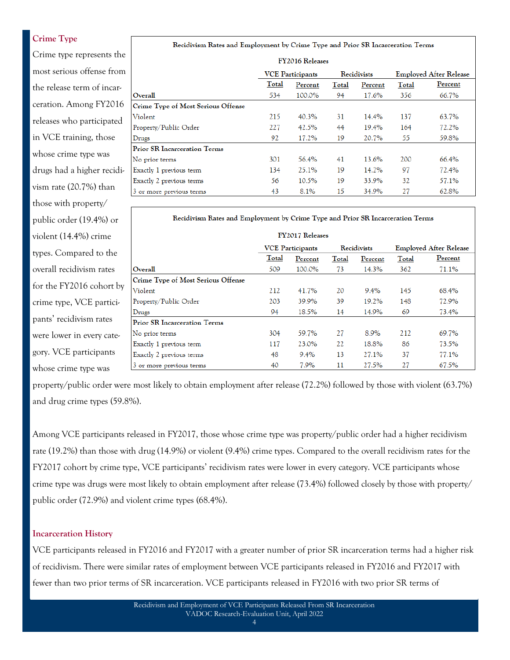# **Crime Type**

Crime type represents the most serious offense from the release term of incarceration. Among FY2016 releases who participated in VCE training, those whose crime type was drugs had a higher recidivism rate (20.7%) than those with property/ public order (19.4%) or violent (14.4%) crime types. Compared to the overall recidivism rates for the FY2016 cohort by crime type, VCE participants' recidivism rates were lower in every category. VCE participants whose crime type was

#### Recidivism Rates and Employment by Crime Type and Prior SR Incarceration Terms

| FY2016 Releases                     |                         |        |             |         |                               |         |  |  |
|-------------------------------------|-------------------------|--------|-------------|---------|-------------------------------|---------|--|--|
|                                     | <b>VCE</b> Participants |        | Recidivists |         | <b>Employed After Release</b> |         |  |  |
|                                     | Total<br>Percent        |        | Total       | Percent | Total                         | Percent |  |  |
| Overall                             | 534                     | 100.0% | 94          | 17.6%   | 356                           | 66.7%   |  |  |
| Crime Type of Most Serious Offense  |                         |        |             |         |                               |         |  |  |
| Violent                             | 215                     | 40.3%  | 31          | 14.4%   | 137                           | 63.7%   |  |  |
| Property/Public Order               | 227                     | 42.5%  | 44          | 19.4%   | 164                           | 72.2%   |  |  |
| Drugs                               | 92                      | 17.2%  | 19          | 20.7%   | 55                            | 59.8%   |  |  |
| <b>Prior SR Incarceration Terms</b> |                         |        |             |         |                               |         |  |  |
| No prior terms                      | 301                     | 56.4%  | 41          | 13.6%   | 200                           | 66.4%   |  |  |
| Exactly 1 previous term             | 134                     | 25.1%  | 19          | 14.2%   | 97                            | 72.4%   |  |  |
| Exactly 2 previous terms            | 56                      | 10.5%  | 19          | 33.9%   | 32                            | 57.1%   |  |  |
| 3 or more previous terms            | 43                      | 8.1%   | 15          | 34.9%   | 27                            | 62.8%   |  |  |

#### Recidivism Rates and Employment by Crime Type and Prior SR Incarceration Terms

| <b>FY2017 Releases</b>              |                         |        |             |         |                               |         |  |
|-------------------------------------|-------------------------|--------|-------------|---------|-------------------------------|---------|--|
|                                     | <b>VCE</b> Participants |        | Recidivists |         | <b>Employed After Release</b> |         |  |
|                                     | Total<br>Percent        |        | Total       | Percent | Total                         | Percent |  |
| Overall                             | 509                     | 100.0% | 73          | 14.3%   | 362                           | 71.1%   |  |
| Crime Type of Most Serious Offense  |                         |        |             |         |                               |         |  |
| Violent                             | 212                     | 41.7%  | 20          | 9.4%    | 145                           | 68.4%   |  |
| Property/Public Order               | 203                     | 39.9%  | 39          | 19.2%   | 148                           | 72.9%   |  |
| Drugs                               | 94                      | 18.5%  | 14          | 14.9%   | 69                            | 73.4%   |  |
| <b>Prior SR Incarceration Terms</b> |                         |        |             |         |                               |         |  |
| No prior terms                      | 304                     | 59.7%  | 27          | 8.9%    | 212                           | 69.7%   |  |
| Exactly 1 previous term             | 117                     | 23.0%  | 22          | 18.8%   | 86                            | 73.5%   |  |
| Exactly 2 previous terms            | 48                      | 9.4%   | 13          | 27.1%   | 37                            | 77.1%   |  |
| 3 or more previous terms            | 40                      | 7.9%   | 11          | 27.5%   | 27                            | 67.5%   |  |

property/public order were most likely to obtain employment after release (72.2%) followed by those with violent (63.7%) and drug crime types (59.8%).

Among VCE participants released in FY2017, those whose crime type was property/public order had a higher recidivism rate (19.2%) than those with drug (14.9%) or violent (9.4%) crime types. Compared to the overall recidivism rates for the FY2017 cohort by crime type, VCE participants' recidivism rates were lower in every category. VCE participants whose crime type was drugs were most likely to obtain employment after release (73.4%) followed closely by those with property/ public order (72.9%) and violent crime types (68.4%).

#### **Incarceration History**

VCE participants released in FY2016 and FY2017 with a greater number of prior SR incarceration terms had a higher risk of recidivism. There were similar rates of employment between VCE participants released in FY2016 and FY2017 with fewer than two prior terms of SR incarceration. VCE participants released in FY2016 with two prior SR terms of

4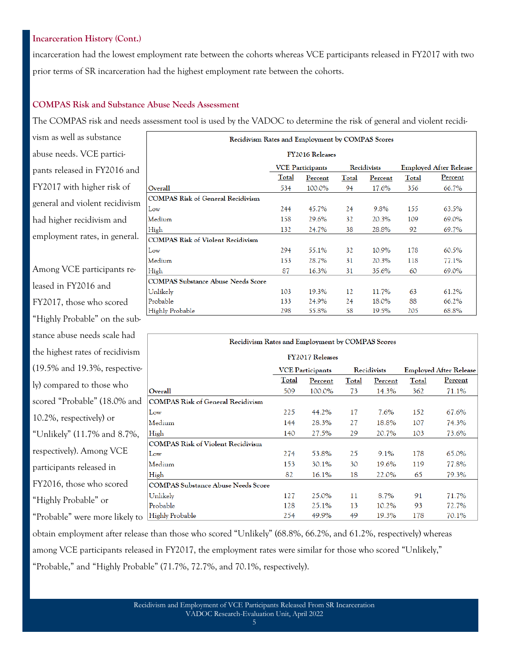## **Incarceration History (Cont.)**

incarceration had the lowest employment rate between the cohorts whereas VCE participants released in FY2017 with two prior terms of SR incarceration had the highest employment rate between the cohorts.

### **COMPAS Risk and Substance Abuse Needs Assessment**

The COMPAS risk and needs assessment tool is used by the VADOC to determine the risk of general and violent recidi-

vism as well as substance abuse needs. VCE participants released in FY2016 and FY2017 with higher risk of general and violent recidivism had higher recidivism and employment rates, in general.

Among VCE participants released in FY2016 and FY2017, those who scored "Highly Probable" on the substance abuse needs scale had the highest rates of recidivism (19.5% and 19.3%, respectively) compared to those who scored "Probable" (18.0% and 10.2%, respectively) or "Unlikely" (11.7% and 8.7%, respectively). Among VCE participants released in FY2016, those who scored "Highly Probable" or "Probable" were more likely to

| Recidivism Rates and Employment by COMPAS Scores |                                                                         |         |       |         |       |         |  |  |  |
|--------------------------------------------------|-------------------------------------------------------------------------|---------|-------|---------|-------|---------|--|--|--|
| FY2016 Releases                                  |                                                                         |         |       |         |       |         |  |  |  |
|                                                  | Recidivists<br><b>Employed After Release</b><br><b>VCE Participants</b> |         |       |         |       |         |  |  |  |
|                                                  | Total                                                                   | Percent | Total | Percent | Total | Percent |  |  |  |
| Overall                                          | 534                                                                     | 100.0%  | 94    | 17.6%   | 356   | 66.7%   |  |  |  |
| <b>COMPAS Risk of General Recidivism</b>         |                                                                         |         |       |         |       |         |  |  |  |
| Low                                              | 244                                                                     | 45.7%   | 24    | 9.8%    | 155   | 63.5%   |  |  |  |
| Medium                                           | 158                                                                     | 29.6%   | 32    | 20.3%   | 109   | 69.0%   |  |  |  |
| High                                             | 132                                                                     | 24.7%   | 38    | 28.8%   | 92    | 69.7%   |  |  |  |
| <b>COMPAS Risk of Violent Recidivism</b>         |                                                                         |         |       |         |       |         |  |  |  |
| Low                                              | 294                                                                     | 55.1%   | 32    | 10.9%   | 178   | 60.5%   |  |  |  |
| Medium                                           | 153                                                                     | 28.7%   | 31    | 20.3%   | 118   | 77.1%   |  |  |  |
| High                                             | 87                                                                      | 16.3%   | 31    | 35.6%   | 60    | 69.0%   |  |  |  |
| <b>COMPAS Substance Abuse Needs Score</b>        |                                                                         |         |       |         |       |         |  |  |  |
| Unlikely                                         | 103                                                                     | 19.3%   | 12    | 11.7%   | 63    | 61.2%   |  |  |  |
| Probable                                         | 133                                                                     | 24.9%   | 24    | 18.0%   | 88    | 66.2%   |  |  |  |
| Highly Probable                                  | 298                                                                     | 55.8%   | 58    | 19.5%   | 205   | 68.8%   |  |  |  |

| Recidivism Rates and Employment by COMPAS Scores |                                        |                        |       |         |              |                               |  |  |
|--------------------------------------------------|----------------------------------------|------------------------|-------|---------|--------------|-------------------------------|--|--|
|                                                  |                                        | <b>FY2017 Releases</b> |       |         |              |                               |  |  |
|                                                  | Recidivists<br><b>VCE Participants</b> |                        |       |         |              | <b>Employed After Release</b> |  |  |
|                                                  | Total                                  | Percent                | Total | Percent | <b>Total</b> | <b>Percent</b>                |  |  |
| Overall                                          | 509                                    | 100.0%                 | 73    | 14.3%   | 362          | 71.1%                         |  |  |
| <b>COMPAS Risk of General Recidivism</b>         |                                        |                        |       |         |              |                               |  |  |
| Low                                              | 225                                    | 44.2%                  | 17    | 7.6%    | 152          | 67.6%                         |  |  |
| Medium                                           | 144                                    | 28.3%                  | 27    | 18.8%   | 107          | 74.3%                         |  |  |
| High                                             | 140                                    | 27.5%                  | 29    | 20.7%   | 103          | 73.6%                         |  |  |
| <b>COMPAS Risk of Violent Recidivism</b>         |                                        |                        |       |         |              |                               |  |  |
| Low                                              | 274                                    | 53.8%                  | 25    | 9.1%    | 178          | 65.0%                         |  |  |
| Medium                                           | 153                                    | 30.1%                  | 30    | 19.6%   | 119          | 77.8%                         |  |  |
| High                                             | 82                                     | 16.1%                  | 18    | 22.0%   | 65           | 79.3%                         |  |  |
| <b>COMPAS Substance Abuse Needs Score</b>        |                                        |                        |       |         |              |                               |  |  |
| Unlikely                                         | 127                                    | 25.0%                  | 11    | 8.7%    | 91           | 71.7%                         |  |  |
| Probable                                         | 128                                    | 25.1%                  | 13    | 10.2%   | 93           | 72.7%                         |  |  |
| Highly Probable                                  | 254                                    | 49.9%                  | 49    | 19.3%   | 178          | 70.1%                         |  |  |

obtain employment after release than those who scored "Unlikely" (68.8%, 66.2%, and 61.2%, respectively) whereas among VCE participants released in FY2017, the employment rates were similar for those who scored "Unlikely," "Probable," and "Highly Probable" (71.7%, 72.7%, and 70.1%, respectively).

5